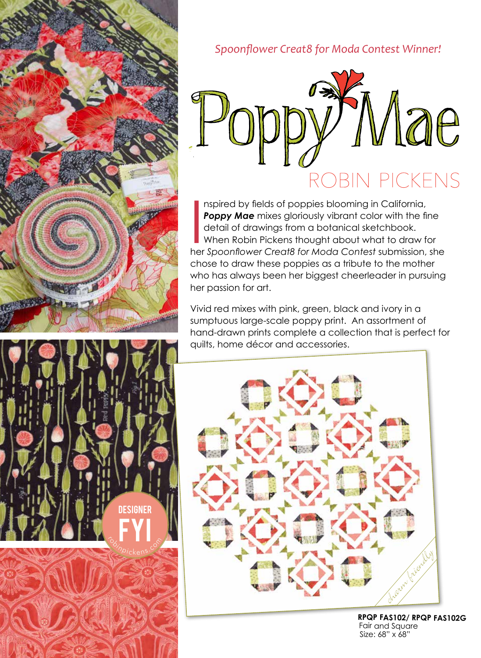

FYI

robin<br>Phinpickens.com

**DESIGNER** 





Inspired by fields of poppies blooming in California,<br> **Poppy Mae** mixes gloriously vibrant color with the fine<br>
detail of drawings from a botanical sketchbook.<br>
When Robin Pickens thought about what to draw for<br>
her Spoon nspired by fields of poppies blooming in California, **Poppy Mae** mixes gloriously vibrant color with the fine detail of drawings from a botanical sketchbook. When Robin Pickens thought about what to draw for chose to draw these poppies as a tribute to the mother who has always been her biggest cheerleader in pursuing her passion for art.

Vivid red mixes with pink, green, black and ivory in a sumptuous large-scale poppy print. An assortment of hand-drawn prints complete a collection that is perfect for quilts, home décor and accessories.



**RPQP FAS102/ RPQP FAS102G**  Fair and Square Size: 68" x 68"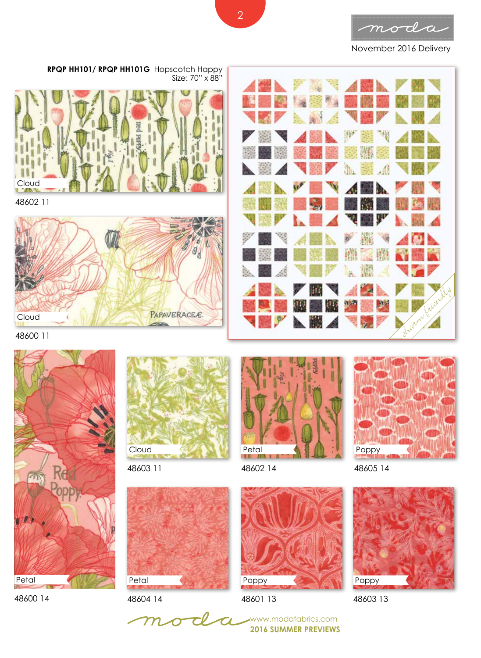

November 2016 Delivery



**RPQP HH101/ RPQP HH101G** Hopscotch Happy Size: 70" x 88"



48602 11



48600 11



48600 14



48603 11



48604 14

 ${\boldsymbol m}$ 



48602 14



48601 13

**2016 SUMMER PREVIEWS** www.modafabrics.com

Poppy

48605 14



48603 13

2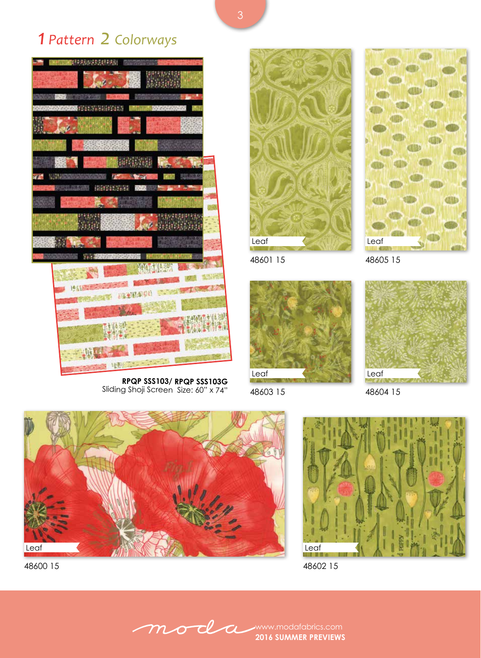*1 Pattern 2 Colorways* 





48601 15



Leaf

48605 15



48603 15

48604 15



Sliding Shoji Screen Size: 60" x 74"

48600 15



48602 15

moda www.modafabrics.com **2016 SUMMER PREVIEWS**